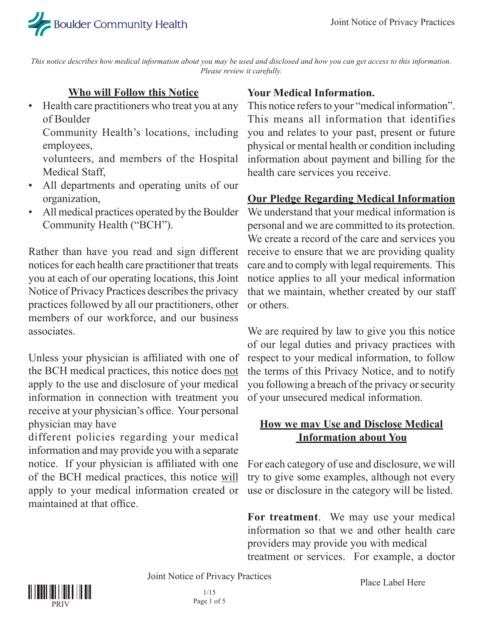

*This notice describes how medical information about you may be used and disclosed and how you can get access to this information. Please review it carefully.*

#### **Who will Follow this Notice**

• Health care practitioners who treat you at any of Boulder

Community Health's locations, including employees,

volunteers, and members of the Hospital Medical Staff,

- All departments and operating units of our organization,
- All medical practices operated by the Boulder Community Health ("BCH").

Rather than have you read and sign different notices for each health care practitioner that treats you at each of our operating locations, this Joint Notice of Privacy Practices describes the privacy practices followed by all our practitioners, other members of our workforce, and our business associates.

Unless your physician is affiliated with one of the BCH medical practices, this notice does not apply to the use and disclosure of your medical information in connection with treatment you receive at your physician's office. Your personal physician may have

different policies regarding your medical information and may provide you with a separate notice. If your physician is affiliated with one of the BCH medical practices, this notice will apply to your medical information created or maintained at that office.

#### **Your Medical Information.**

This notice refers to your "medical information". This means all information that identifies you and relates to your past, present or future physical or mental health or condition including information about payment and billing for the health care services you receive.

#### **Our Pledge Regarding Medical Information**

We understand that your medical information is personal and we are committed to its protection. We create a record of the care and services you receive to ensure that we are providing quality care and to comply with legal requirements. This notice applies to all your medical information that we maintain, whether created by our staff or others.

We are required by law to give you this notice of our legal duties and privacy practices with respect to your medical information, to follow the terms of this Privacy Notice, and to notify you following a breach of the privacy or security of your unsecured medical information.

#### **How we may Use and Disclose Medical Information about You**

For each category of use and disclosure, we will try to give some examples, although not every use or disclosure in the category will be listed.

**For treatment**. We may use your medical information so that we and other health care providers may provide you with medical treatment or services. For example, a doctor

Joint Notice of Privacy Practices

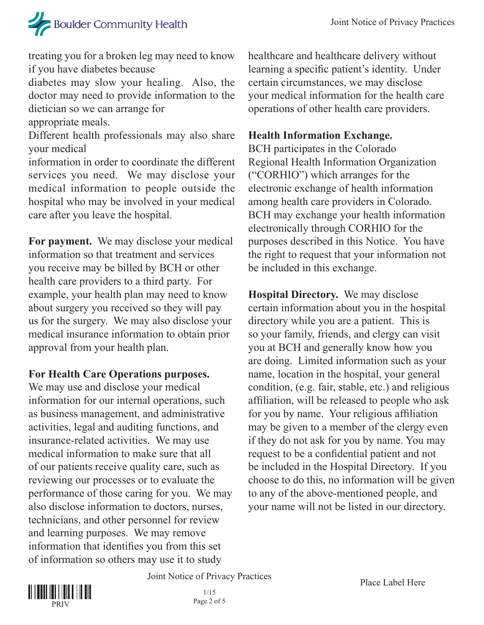# Boulder Community Health

treating you for a broken leg may need to know if you have diabetes because

diabetes may slow your healing. Also, the doctor may need to provide information to the dietician so we can arrange for

appropriate meals.

Different health professionals may also share your medical

information in order to coordinate the different services you need. We may disclose your medical information to people outside the hospital who may be involved in your medical care after you leave the hospital.

**For payment.** We may disclose your medical information so that treatment and services you receive may be billed by BCH or other health care providers to a third party. For example, your health plan may need to know about surgery you received so they will pay us for the surgery. We may also disclose your medical insurance information to obtain prior approval from your health plan.

## **For Health Care Operations purposes.**

We may use and disclose your medical information for our internal operations, such as business management, and administrative activities, legal and auditing functions, and insurance-related activities. We may use medical information to make sure that all of our patients receive quality care, such as reviewing our processes or to evaluate the performance of those caring for you. We may also disclose information to doctors, nurses, technicians, and other personnel for review and learning purposes. We may remove information that identifies you from this set of information so others may use it to study

healthcare and healthcare delivery without learning a specific patient's identity. Under certain circumstances, we may disclose your medical information for the health care operations of other health care providers.

### **Health Information Exchange.**

BCH participates in the Colorado Regional Health Information Organization ("CORHIO") which arranges for the electronic exchange of health information among health care providers in Colorado. BCH may exchange your health information electronically through CORHIO for the purposes described in this Notice. You have the right to request that your information not be included in this exchange.

**Hospital Directory.** We may disclose certain information about you in the hospital directory while you are a patient. This is so your family, friends, and clergy can visit you at BCH and generally know how you are doing. Limited information such as your name, location in the hospital, your general condition, (e.g. fair, stable, etc.) and religious affiliation, will be released to people who ask for you by name. Your religious affiliation may be given to a member of the clergy even if they do not ask for you by name. You may request to be a confidential patient and not be included in the Hospital Directory. If you choose to do this, no information will be given to any of the above-mentioned people, and your name will not be listed in our directory.



Joint Notice of Privacy Practices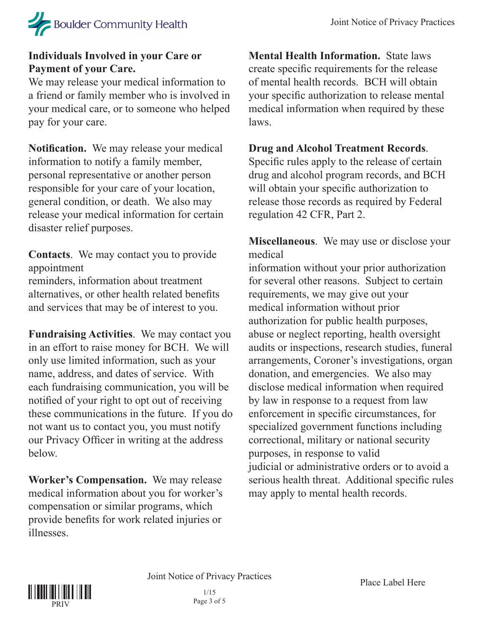

#### **Individuals Involved in your Care or Payment of your Care.**

We may release your medical information to a friend or family member who is involved in your medical care, or to someone who helped pay for your care.

**Notification.** We may release your medical information to notify a family member, personal representative or another person responsible for your care of your location, general condition, or death. We also may release your medical information for certain disaster relief purposes.

**Contacts**. We may contact you to provide appointment

reminders, information about treatment alternatives, or other health related benefits and services that may be of interest to you.

**Fundraising Activities**. We may contact you in an effort to raise money for BCH. We will only use limited information, such as your name, address, and dates of service. With each fundraising communication, you will be notified of your right to opt out of receiving these communications in the future. If you do not want us to contact you, you must notify our Privacy Officer in writing at the address below.

**Worker's Compensation.** We may release medical information about you for worker's compensation or similar programs, which provide benefits for work related injuries or illnesses.

**Mental Health Information.** State laws create specific requirements for the release of mental health records. BCH will obtain your specific authorization to release mental medical information when required by these laws.

#### **Drug and Alcohol Treatment Records**.

Specific rules apply to the release of certain drug and alcohol program records, and BCH will obtain your specific authorization to release those records as required by Federal regulation 42 CFR, Part 2.

**Miscellaneous**. We may use or disclose your medical

information without your prior authorization for several other reasons. Subject to certain requirements, we may give out your medical information without prior authorization for public health purposes, abuse or neglect reporting, health oversight audits or inspections, research studies, funeral arrangements, Coroner's investigations, organ donation, and emergencies. We also may disclose medical information when required by law in response to a request from law enforcement in specific circumstances, for specialized government functions including correctional, military or national security purposes, in response to valid judicial or administrative orders or to avoid a serious health threat. Additional specific rules may apply to mental health records.

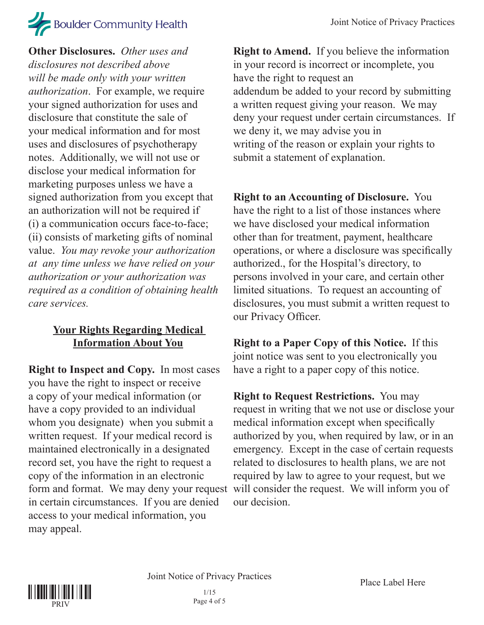# **Boulder Community Health**

**Other Disclosures.** *Other uses and disclosures not described above will be made only with your written authorization*. For example, we require your signed authorization for uses and disclosure that constitute the sale of your medical information and for most uses and disclosures of psychotherapy notes. Additionally, we will not use or disclose your medical information for marketing purposes unless we have a signed authorization from you except that an authorization will not be required if (i) a communication occurs face-to-face; (ii) consists of marketing gifts of nominal value. *You may revoke your authorization at any time unless we have relied on your authorization or your authorization was required as a condition of obtaining health care services.*

## **Your Rights Regarding Medical Information About You**

**Right to Inspect and Copy.** In most cases you have the right to inspect or receive a copy of your medical information (or have a copy provided to an individual whom you designate) when you submit a written request. If your medical record is maintained electronically in a designated record set, you have the right to request a copy of the information in an electronic in certain circumstances. If you are denied access to your medical information, you may appeal.

**Right to Amend.** If you believe the information in your record is incorrect or incomplete, you have the right to request an addendum be added to your record by submitting a written request giving your reason. We may deny your request under certain circumstances. If we deny it, we may advise you in writing of the reason or explain your rights to submit a statement of explanation.

**Right to an Accounting of Disclosure.** You have the right to a list of those instances where we have disclosed your medical information other than for treatment, payment, healthcare operations, or where a disclosure was specifically authorized., for the Hospital's directory, to persons involved in your care, and certain other limited situations. To request an accounting of disclosures, you must submit a written request to our Privacy Officer.

**Right to a Paper Copy of this Notice.** If this joint notice was sent to you electronically you have a right to a paper copy of this notice.

form and format. We may deny your request will consider the request. We will inform you of **Right to Request Restrictions.** You may request in writing that we not use or disclose your medical information except when specifically authorized by you, when required by law, or in an emergency. Except in the case of certain requests related to disclosures to health plans, we are not required by law to agree to your request, but we our decision.